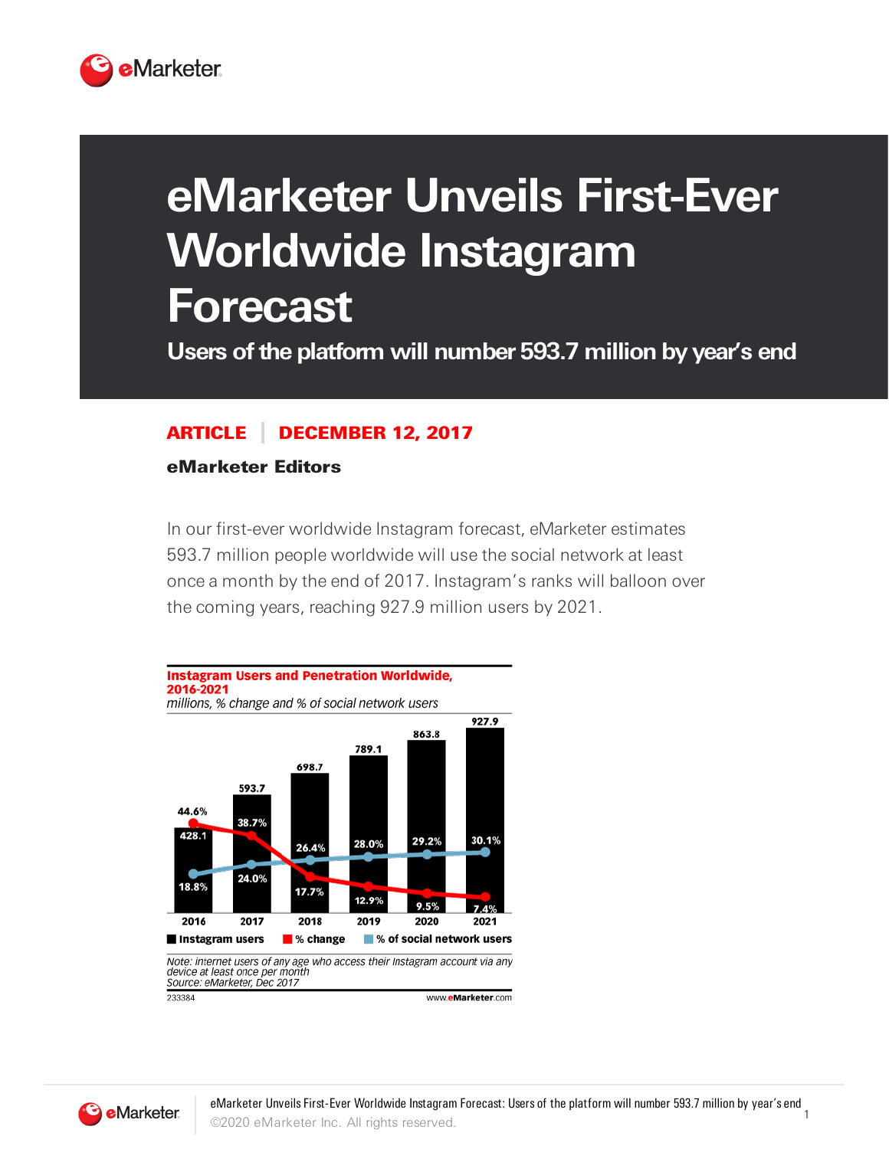

## **eMarketer Unveils First-Ever Worldwide Instagram Forecast**

**Users ofthe platform will number 593.7 million by year's end**

## ARTICLE DECEMBER 12, 2017

eMarketer Editors

In our first-ever worldwide Instagram forecast, eMarketer estimates 593.7 million people worldwide will use the social network at least once a month by the end of 2017. Instagram's ranks will balloon over the coming years, reaching 927.9 million users by 2021.



device at least once per month Source: eMarketer, Dec 2017 233384 www.eMarketer.com

**B** eMarketer.